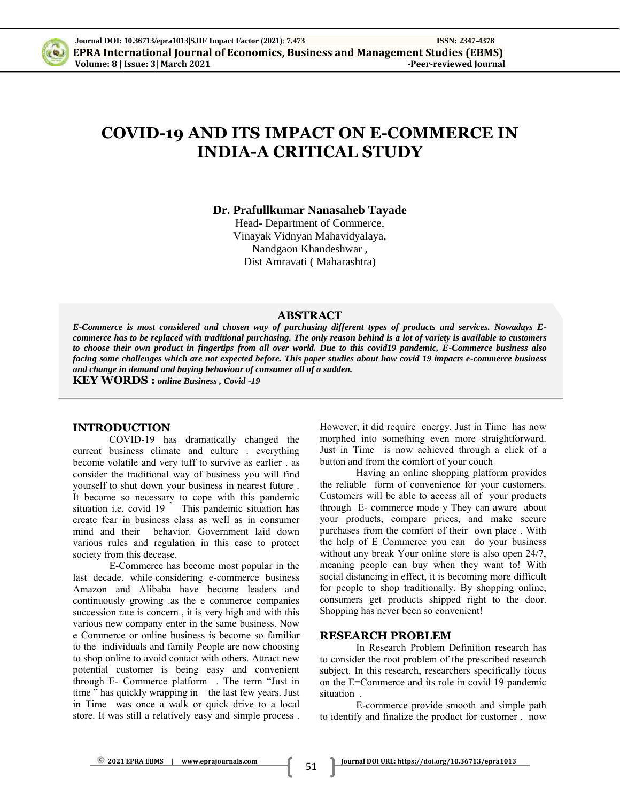

# **COVID-19 AND ITS IMPACT ON E-COMMERCE IN INDIA-A CRITICAL STUDY**

**Dr. Prafullkumar Nanasaheb Tayade**

Head- Department of Commerce, Vinayak Vidnyan Mahavidyalaya, Nandgaon Khandeshwar , Dist Amravati ( Maharashtra)

#### **ABSTRACT**

*E-Commerce is most considered and chosen way of purchasing different types of products and services. Nowadays Ecommerce has to be replaced with traditional purchasing. The only reason behind is a lot of variety is available to customers to choose their own product in fingertips from all over world. Due to this covid19 pandemic, E-Commerce business also facing some challenges which are not expected before. This paper studies about how covid 19 impacts e-commerce business and change in demand and buying behaviour of consumer all of a sudden.*

**KEY WORDS :** *online Business , Covid -19*

#### **INTRODUCTION**

COVID-19 has dramatically changed the current business climate and culture . everything become volatile and very tuff to survive as earlier . as consider the traditional way of business you will find yourself to shut down your business in nearest future . It become so necessary to cope with this pandemic situation i.e. covid 19 This pandemic situation has create fear in business class as well as in consumer mind and their behavior. Government laid down various rules and regulation in this case to protect society from this decease.

E-Commerce has become most popular in the last decade. while considering e-commerce business Amazon and Alibaba have become leaders and continuously growing .as the e commerce companies succession rate is concern , it is very high and with this various new company enter in the same business. Now e Commerce or online business is become so familiar to the individuals and family People are now choosing to shop online to avoid contact with others. Attract new potential customer is being easy and convenient through E- Commerce platform . The term "Just in time " has quickly wrapping in the last few years. Just in Time was once a walk or quick drive to a local store. It was still a relatively easy and simple process . However, it did require energy. Just in Time has now morphed into something even more straightforward. Just in Time is now achieved through a click of a button and from the comfort of your couch

Having an online shopping platform provides the reliable form of convenience for your customers. Customers will be able to access all of your products through E- commerce mode y They can aware about your products, compare prices, and make secure purchases from the comfort of their own place . With the help of E Commerce you can do your business without any break Your online store is also open 24/7, meaning people can buy when they want to! With social distancing in effect, it is becoming more difficult for people to shop traditionally. By shopping online, consumers get products shipped right to the door. Shopping has never been so convenient!

#### **RESEARCH PROBLEM**

In Research Problem Definition research has to consider the root problem of the prescribed research subject. In this research, researchers specifically focus on the E=Commerce and its role in covid 19 pandemic situation .

E-commerce provide smooth and simple path to identify and finalize the product for customer . now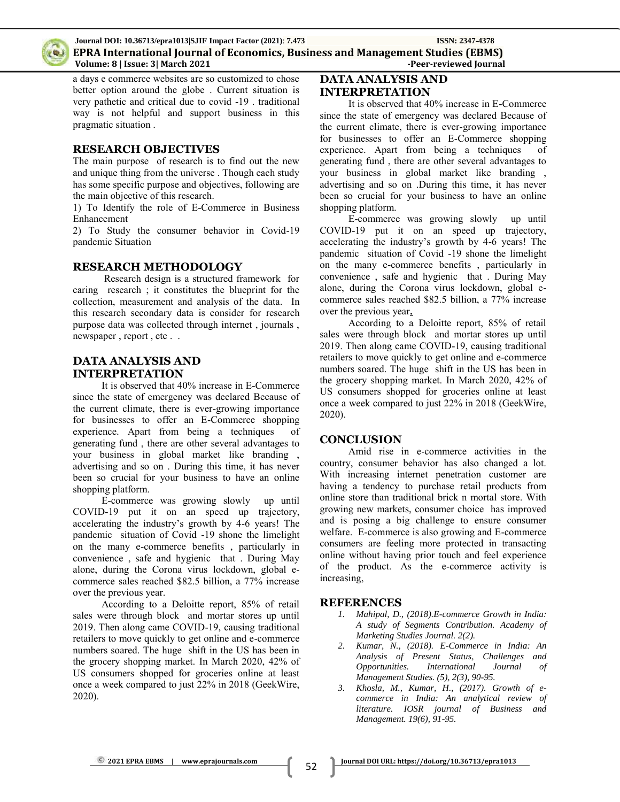

a days e commerce websites are so customized to chose better option around the globe . Current situation is very pathetic and critical due to covid -19 . traditional way is not helpful and support business in this pragmatic situation .

## **RESEARCH OBJECTIVES**

The main purpose of research is to find out the new and unique thing from the universe . Though each study has some specific purpose and objectives, following are the main objective of this research.

1) To Identify the role of E-Commerce in Business Enhancement

2) To Study the consumer behavior in Covid-19 pandemic Situation

## **RESEARCH METHODOLOGY**

Research design is a structured framework for caring research ; it constitutes the blueprint for the collection, measurement and analysis of the data. In this research secondary data is consider for research purpose data was collected through internet , journals , newspaper , report , etc . .

## **DATA ANALYSIS AND INTERPRETATION**

It is observed that 40% increase in E-Commerce since the state of emergency was declared Because of the current climate, there is ever-growing importance for businesses to offer an E-Commerce shopping experience. Apart from being a techniques of generating fund , there are other several advantages to your business in global market like branding , advertising and so on . During this time, it has never been so crucial for your business to have an online shopping platform.

E-commerce was growing slowly up until COVID-19 put it on an speed up trajectory, accelerating the industry's growth by 4-6 years! The pandemic situation of Covid -19 shone the limelight on the many e-commerce benefits , particularly in convenience , safe and hygienic that . During May alone, during the Corona virus lockdown, global ecommerce sales reached \$82.5 billion, a 77% increase over the previous year.

According to a Deloitte report, 85% of retail sales were through block and mortar stores up until 2019. Then along came COVID-19, causing traditional retailers to move quickly to get online and e-commerce numbers soared. The huge shift in the US has been in the grocery shopping market. In March 2020, 42% of US consumers shopped for groceries online at least once a week compared to just 22% in 2018 (GeekWire, 2020).

## **DATA ANALYSIS AND INTERPRETATION**

It is observed that 40% increase in E-Commerce since the state of emergency was declared Because of the current climate, there is ever-growing importance for businesses to offer an E-Commerce shopping experience. Apart from being a techniques of generating fund , there are other several advantages to your business in global market like branding , advertising and so on .During this time, it has never been so crucial for your business to have an online shopping platform.

E-commerce was growing slowly up until COVID-19 put it on an speed up trajectory, accelerating the industry's growth by 4-6 years! The pandemic situation of Covid -19 shone the limelight on the many e-commerce benefits , particularly in convenience , safe and hygienic that . During May alone, during the Corona virus lockdown, global ecommerce sales reached \$82.5 billion, a 77% increase over the previous year**.**

According to a Deloitte report, 85% of retail sales were through block and mortar stores up until 2019. Then along came COVID-19, causing traditional retailers to move quickly to get online and e-commerce numbers soared. The huge shift in the US has been in the grocery shopping market. In March 2020, 42% of US consumers shopped for groceries online at least once a week compared to just 22% in 2018 (GeekWire, 2020).

## **CONCLUSION**

Amid rise in e-commerce activities in the country, consumer behavior has also changed a lot. With increasing internet penetration customer are having a tendency to purchase retail products from online store than traditional brick n mortal store. With growing new markets, consumer choice has improved and is posing a big challenge to ensure consumer welfare. E-commerce is also growing and E-commerce consumers are feeling more protected in transacting online without having prior touch and feel experience of the product. As the e-commerce activity is increasing,

### **REFERENCES**

- *1. Mahipal, D., (2018).E-commerce Growth in India: A study of Segments Contribution. Academy of Marketing Studies Journal. 2(2).*
- *2. Kumar, N., (2018). E-Commerce in India: An Analysis of Present Status, Challenges and Opportunities. International Journal of Management Studies. (5), 2(3), 90-95.*
- *3. Khosla, M., Kumar, H., (2017). Growth of ecommerce in India: An analytical review of literature. IOSR journal of Business and Management. 19(6), 91-95.*